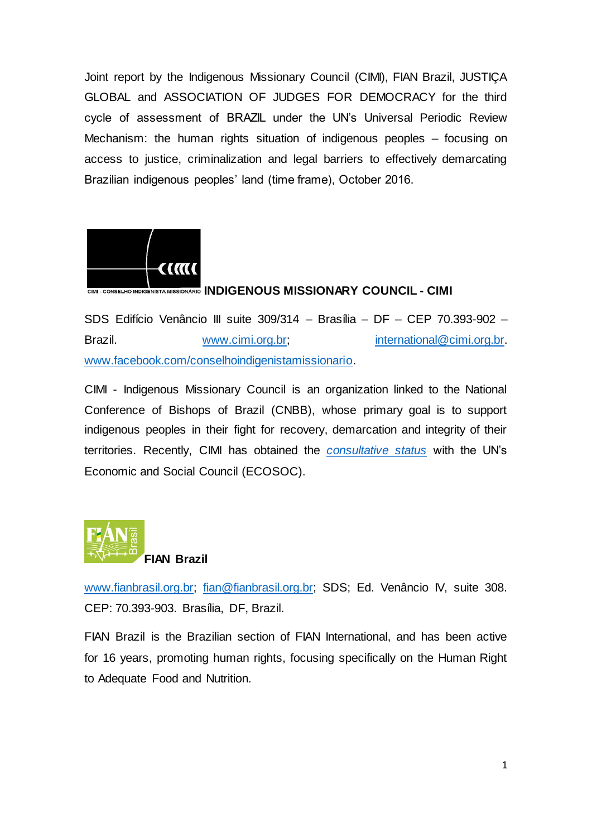Joint report by the Indigenous Missionary Council (CIMI), FIAN Brazil, JUSTIÇA GLOBAL and ASSOCIATION OF JUDGES FOR DEMOCRACY for the third cycle of assessment of BRAZIL under the UN's Universal Periodic Review Mechanism: the human rights situation of indigenous peoples – focusing on access to justice, criminalization and legal barriers to effectively demarcating Brazilian indigenous peoples' land (time frame), October 2016.



## CIMI - CONSELHO INDIGENISTA MISSIONÁRIO **INDIGENOUS MISSIONARY COUNCIL - CIMI**

SDS Edifício Venâncio III suite 309/314 – Brasília – DF – CEP 70.393-902 – Brazil. www.cimi.org.br; international@cimi.org.br. www.facebook.com/conselhoindigenistamissionario.

CIMI - Indigenous Missionary Council is an organization linked to the National Conference of Bishops of Brazil (CNBB), whose primary goal is to support indigenous peoples in their fight for recovery, demarcation and integrity of their territories. Recently, CIMI has obtained the *consultative status* with the UN's Economic and Social Council (ECOSOC).



www.fianbrasil.org.br; fian@fianbrasil.org.br; SDS; Ed. Venâncio IV, suite 308. CEP: 70.393-903. Brasília, DF, Brazil.

FIAN Brazil is the Brazilian section of FIAN International, and has been active for 16 years, promoting human rights, focusing specifically on the Human Right to Adequate Food and Nutrition.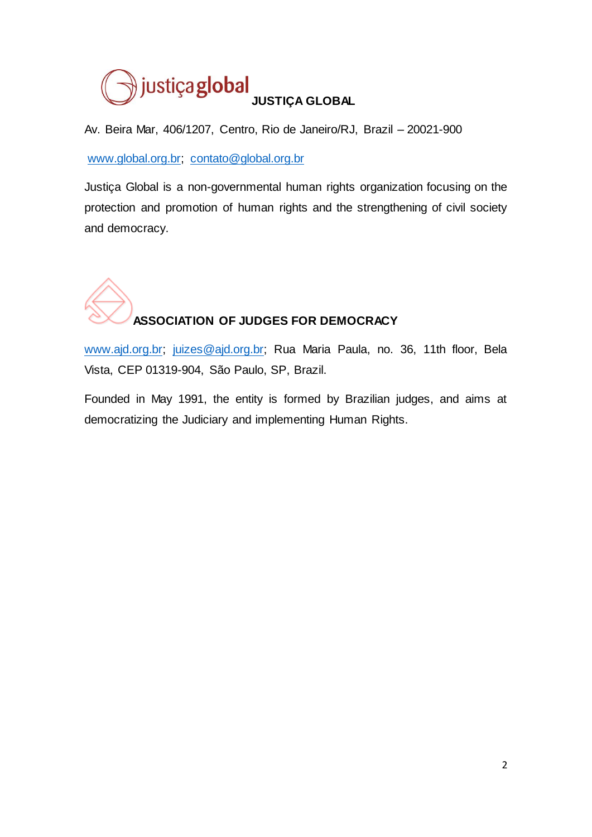

Av. Beira Mar, 406/1207, Centro, Rio de Janeiro/RJ, Brazil – 20021-900

www.global.org.br; contato@global.org.br

Justiça Global is a non-governmental human rights organization focusing on the protection and promotion of human rights and the strengthening of civil society and democracy.



www.ajd.org.br; juizes@ajd.org.br; Rua Maria Paula, no. 36, 11th floor, Bela Vista, CEP 01319-904, São Paulo, SP, Brazil.

Founded in May 1991, the entity is formed by Brazilian judges, and aims at democratizing the Judiciary and implementing Human Rights.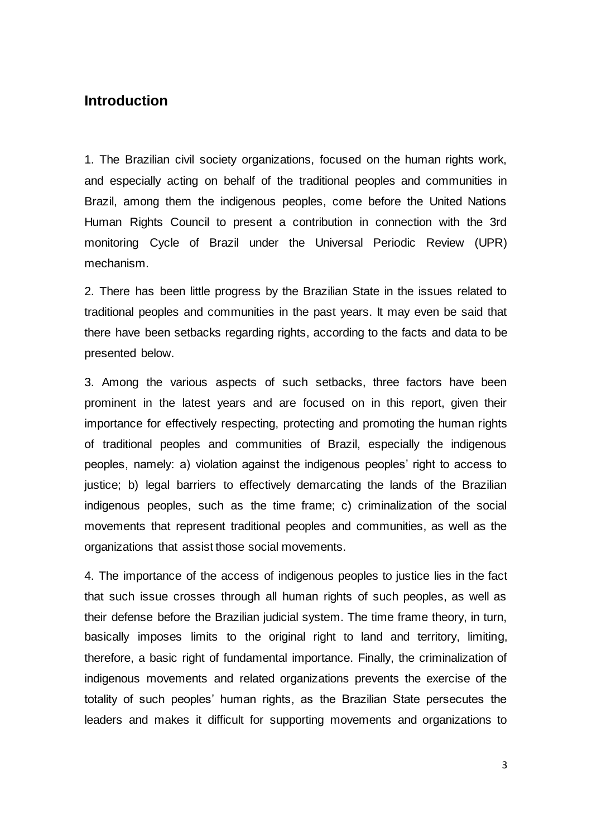## **Introduction**

1. The Brazilian civil society organizations, focused on the human rights work, and especially acting on behalf of the traditional peoples and communities in Brazil, among them the indigenous peoples, come before the United Nations Human Rights Council to present a contribution in connection with the 3rd monitoring Cycle of Brazil under the Universal Periodic Review (UPR) mechanism.

2. There has been little progress by the Brazilian State in the issues related to traditional peoples and communities in the past years. It may even be said that there have been setbacks regarding rights, according to the facts and data to be presented below.

3. Among the various aspects of such setbacks, three factors have been prominent in the latest years and are focused on in this report, given their importance for effectively respecting, protecting and promoting the human rights of traditional peoples and communities of Brazil, especially the indigenous peoples, namely: a) violation against the indigenous peoples' right to access to justice; b) legal barriers to effectively demarcating the lands of the Brazilian indigenous peoples, such as the time frame; c) criminalization of the social movements that represent traditional peoples and communities, as well as the organizations that assist those social movements.

4. The importance of the access of indigenous peoples to justice lies in the fact that such issue crosses through all human rights of such peoples, as well as their defense before the Brazilian judicial system. The time frame theory, in turn, basically imposes limits to the original right to land and territory, limiting, therefore, a basic right of fundamental importance. Finally, the criminalization of indigenous movements and related organizations prevents the exercise of the totality of such peoples' human rights, as the Brazilian State persecutes the leaders and makes it difficult for supporting movements and organizations to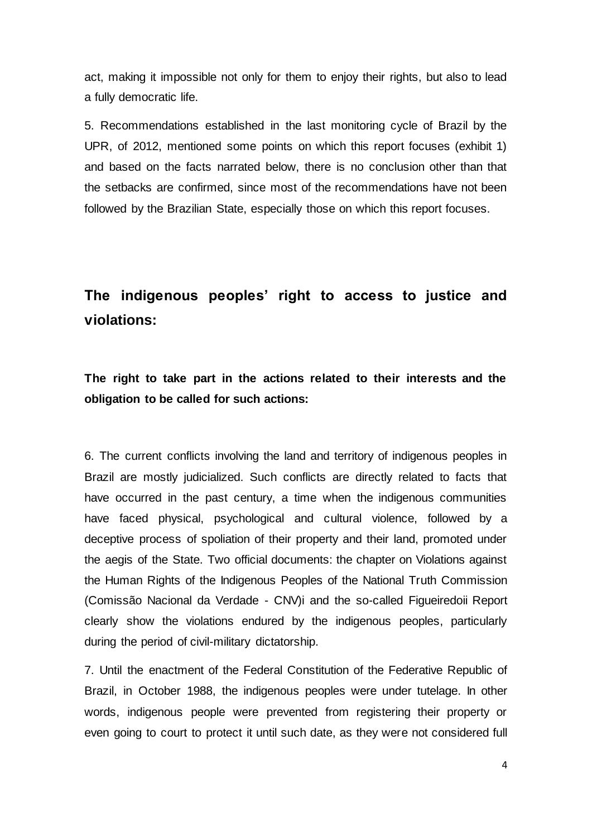act, making it impossible not only for them to enjoy their rights, but also to lead a fully democratic life.

5. Recommendations established in the last monitoring cycle of Brazil by the UPR, of 2012, mentioned some points on which this report focuses (exhibit 1) and based on the facts narrated below, there is no conclusion other than that the setbacks are confirmed, since most of the recommendations have not been followed by the Brazilian State, especially those on which this report focuses.

# **The indigenous peoples' right to access to justice and violations:**

**The right to take part in the actions related to their interests and the obligation to be called for such actions:**

6. The current conflicts involving the land and territory of indigenous peoples in Brazil are mostly judicialized. Such conflicts are directly related to facts that have occurred in the past century, a time when the indigenous communities have faced physical, psychological and cultural violence, followed by a deceptive process of spoliation of their property and their land, promoted under the aegis of the State. Two official documents: the chapter on Violations against the Human Rights of the Indigenous Peoples of the National Truth Commission (Comissão Nacional da Verdade - CNV)i and the so-called Figueiredoii Report clearly show the violations endured by the indigenous peoples, particularly during the period of civil-military dictatorship.

7. Until the enactment of the Federal Constitution of the Federative Republic of Brazil, in October 1988, the indigenous peoples were under tutelage. In other words, indigenous people were prevented from registering their property or even going to court to protect it until such date, as they were not considered full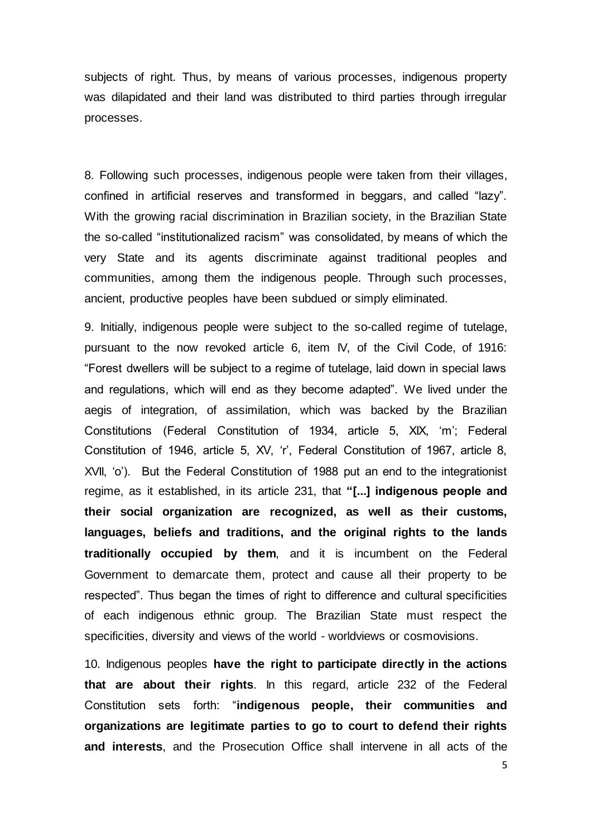subjects of right. Thus, by means of various processes, indigenous property was dilapidated and their land was distributed to third parties through irregular processes.

8. Following such processes, indigenous people were taken from their villages, confined in artificial reserves and transformed in beggars, and called "lazy". With the growing racial discrimination in Brazilian society, in the Brazilian State the so-called "institutionalized racism" was consolidated, by means of which the very State and its agents discriminate against traditional peoples and communities, among them the indigenous people. Through such processes, ancient, productive peoples have been subdued or simply eliminated.

9. Initially, indigenous people were subject to the so-called regime of tutelage, pursuant to the now revoked article 6, item IV, of the Civil Code, of 1916: "Forest dwellers will be subject to a regime of tutelage, laid down in special laws and regulations, which will end as they become adapted". We lived under the aegis of integration, of assimilation, which was backed by the Brazilian Constitutions (Federal Constitution of 1934, article 5, XIX, 'm'; Federal Constitution of 1946, article 5, XV, 'r', Federal Constitution of 1967, article 8, XVII, 'o'). But the Federal Constitution of 1988 put an end to the integrationist regime, as it established, in its article 231, that **"[...] indigenous people and their social organization are recognized, as well as their customs, languages, beliefs and traditions, and the original rights to the lands traditionally occupied by them**, and it is incumbent on the Federal Government to demarcate them, protect and cause all their property to be respected". Thus began the times of right to difference and cultural specificities of each indigenous ethnic group. The Brazilian State must respect the specificities, diversity and views of the world - worldviews or cosmovisions.

10. Indigenous peoples **have the right to participate directly in the actions that are about their rights**. In this regard, article 232 of the Federal Constitution sets forth: "**indigenous people, their communities and organizations are legitimate parties to go to court to defend their rights and interests**, and the Prosecution Office shall intervene in all acts of the

5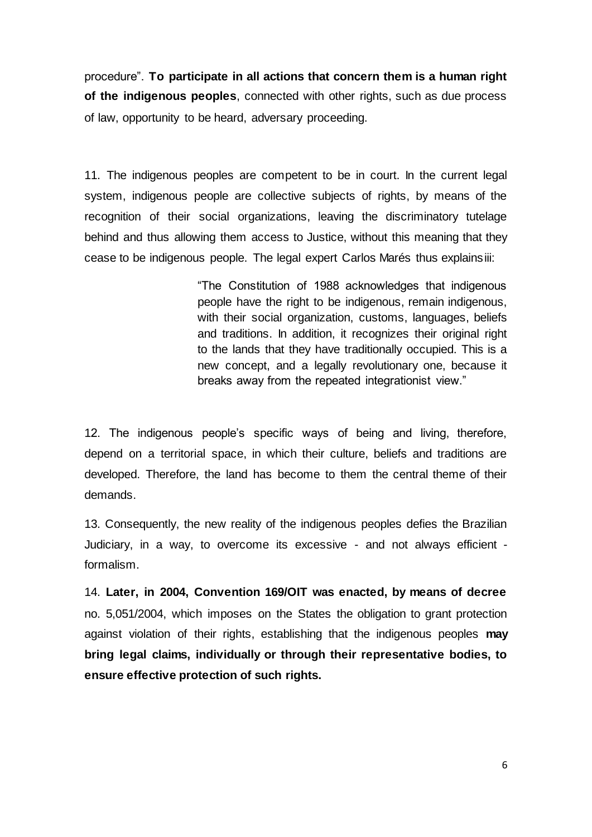procedure". **To participate in all actions that concern them is a human right of the indigenous peoples**, connected with other rights, such as due process of law, opportunity to be heard, adversary proceeding.

11. The indigenous peoples are competent to be in court. In the current legal system, indigenous people are collective subjects of rights, by means of the recognition of their social organizations, leaving the discriminatory tutelage behind and thus allowing them access to Justice, without this meaning that they cease to be indigenous people. The legal expert Carlos Marés thus explainsiii:

> "The Constitution of 1988 acknowledges that indigenous people have the right to be indigenous, remain indigenous, with their social organization, customs, languages, beliefs and traditions. In addition, it recognizes their original right to the lands that they have traditionally occupied. This is a new concept, and a legally revolutionary one, because it breaks away from the repeated integrationist view."

12. The indigenous people's specific ways of being and living, therefore, depend on a territorial space, in which their culture, beliefs and traditions are developed. Therefore, the land has become to them the central theme of their demands.

13. Consequently, the new reality of the indigenous peoples defies the Brazilian Judiciary, in a way, to overcome its excessive - and not always efficient formalism.

14. **Later, in 2004, Convention 169/OIT was enacted, by means of decree**  no. 5,051/2004, which imposes on the States the obligation to grant protection against violation of their rights, establishing that the indigenous peoples **may bring legal claims, individually or through their representative bodies, to ensure effective protection of such rights.**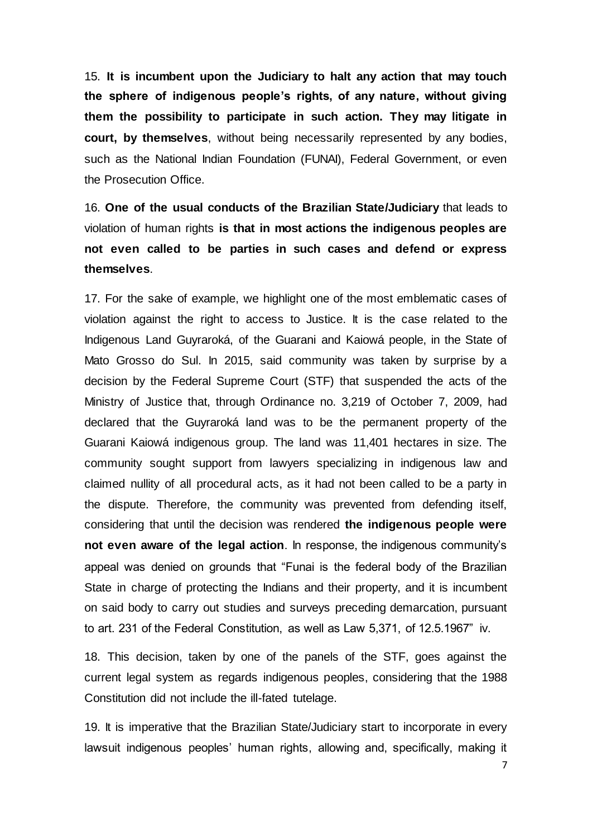15. **It is incumbent upon the Judiciary to halt any action that may touch the sphere of indigenous people's rights, of any nature, without giving them the possibility to participate in such action. They may litigate in court, by themselves**, without being necessarily represented by any bodies, such as the National Indian Foundation (FUNAI), Federal Government, or even the Prosecution Office.

16. **One of the usual conducts of the Brazilian State/Judiciary** that leads to violation of human rights **is that in most actions the indigenous peoples are not even called to be parties in such cases and defend or express themselves**.

17. For the sake of example, we highlight one of the most emblematic cases of violation against the right to access to Justice. It is the case related to the Indigenous Land Guyraroká, of the Guarani and Kaiowá people, in the State of Mato Grosso do Sul. In 2015, said community was taken by surprise by a decision by the Federal Supreme Court (STF) that suspended the acts of the Ministry of Justice that, through Ordinance no. 3,219 of October 7, 2009, had declared that the Guyraroká land was to be the permanent property of the Guarani Kaiowá indigenous group. The land was 11,401 hectares in size. The community sought support from lawyers specializing in indigenous law and claimed nullity of all procedural acts, as it had not been called to be a party in the dispute. Therefore, the community was prevented from defending itself, considering that until the decision was rendered **the indigenous people were not even aware of the legal action**. In response, the indigenous community's appeal was denied on grounds that "Funai is the federal body of the Brazilian State in charge of protecting the Indians and their property, and it is incumbent on said body to carry out studies and surveys preceding demarcation, pursuant to art. 231 of the Federal Constitution, as well as Law 5,371, of 12.5.1967" iv.

18. This decision, taken by one of the panels of the STF, goes against the current legal system as regards indigenous peoples, considering that the 1988 Constitution did not include the ill-fated tutelage.

19. It is imperative that the Brazilian State/Judiciary start to incorporate in every lawsuit indigenous peoples' human rights, allowing and, specifically, making it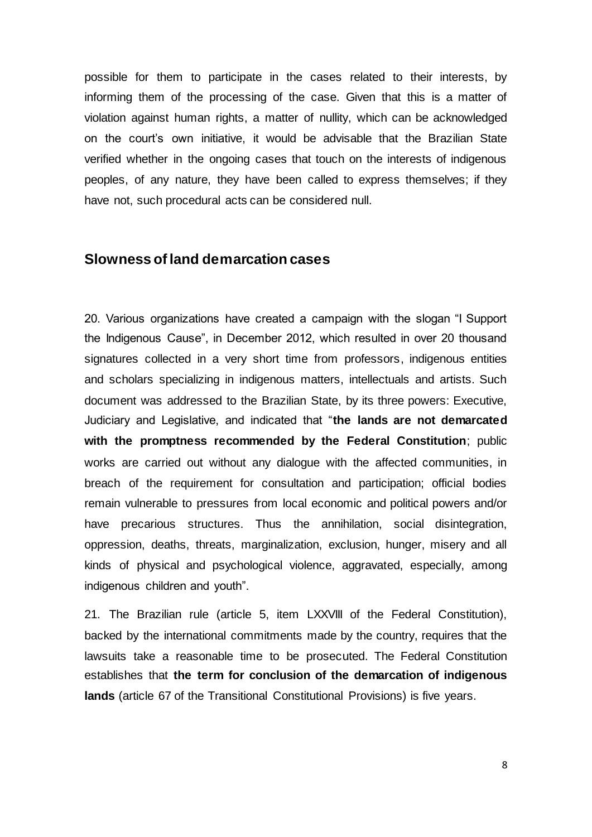possible for them to participate in the cases related to their interests, by informing them of the processing of the case. Given that this is a matter of violation against human rights, a matter of nullity, which can be acknowledged on the court's own initiative, it would be advisable that the Brazilian State verified whether in the ongoing cases that touch on the interests of indigenous peoples, of any nature, they have been called to express themselves; if they have not, such procedural acts can be considered null.

## **Slowness of land demarcation cases**

20. Various organizations have created a campaign with the slogan "I Support the Indigenous Cause", in December 2012, which resulted in over 20 thousand signatures collected in a very short time from professors, indigenous entities and scholars specializing in indigenous matters, intellectuals and artists. Such document was addressed to the Brazilian State, by its three powers: Executive, Judiciary and Legislative, and indicated that "**the lands are not demarcated with the promptness recommended by the Federal Constitution**; public works are carried out without any dialogue with the affected communities, in breach of the requirement for consultation and participation; official bodies remain vulnerable to pressures from local economic and political powers and/or have precarious structures. Thus the annihilation, social disintegration, oppression, deaths, threats, marginalization, exclusion, hunger, misery and all kinds of physical and psychological violence, aggravated, especially, among indigenous children and youth".

21. The Brazilian rule (article 5, item LXXVIII of the Federal Constitution), backed by the international commitments made by the country, requires that the lawsuits take a reasonable time to be prosecuted. The Federal Constitution establishes that **the term for conclusion of the demarcation of indigenous lands** (article 67 of the Transitional Constitutional Provisions) is five years.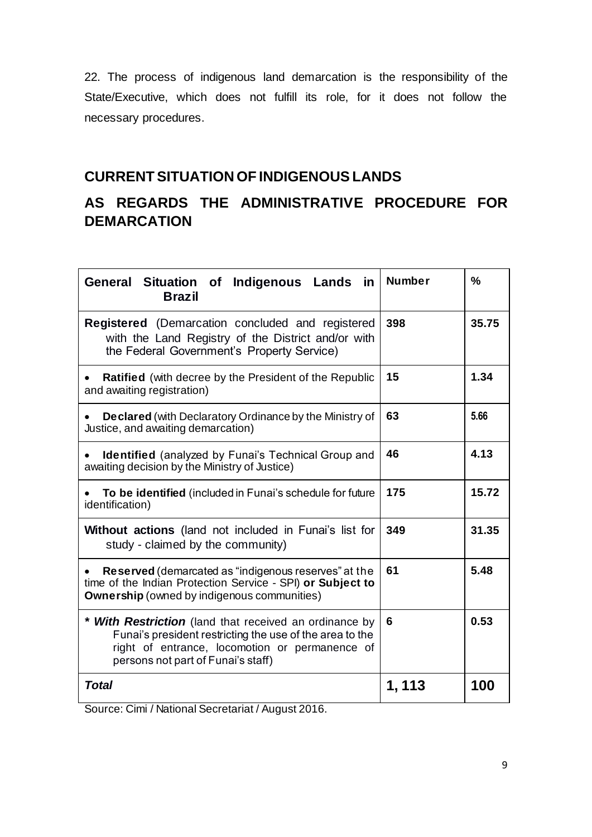22. The process of indigenous land demarcation is the responsibility of the State/Executive, which does not fulfill its role, for it does not follow the necessary procedures.

# **CURRENT SITUATION OF INDIGENOUS LANDS**

# **AS REGARDS THE ADMINISTRATIVE PROCEDURE FOR DEMARCATION**

| General Situation of Indigenous Lands<br>in<br><b>Brazil</b>                                                                                                                                               | <b>Number</b> | $\frac{0}{0}$ |
|------------------------------------------------------------------------------------------------------------------------------------------------------------------------------------------------------------|---------------|---------------|
| Registered (Demarcation concluded and registered<br>with the Land Registry of the District and/or with<br>the Federal Government's Property Service)                                                       | 398           | 35.75         |
| <b>Ratified</b> (with decree by the President of the Republic<br>and awaiting registration)                                                                                                                | 15            | 1.34          |
| <b>Declared</b> (with Declaratory Ordinance by the Ministry of<br>Justice, and awaiting demarcation)                                                                                                       | 63            | 5.66          |
| <b>Identified</b> (analyzed by Funai's Technical Group and<br>awaiting decision by the Ministry of Justice)                                                                                                | 46            | 4.13          |
| To be identified (included in Funai's schedule for future<br>identification)                                                                                                                               | 175           | 15.72         |
| Without actions (land not included in Funai's list for<br>study - claimed by the community)                                                                                                                | 349           | 31.35         |
| Reserved (demarcated as "indigenous reserves" at the<br>time of the Indian Protection Service - SPI) or Subject to<br><b>Ownership</b> (owned by indigenous communities)                                   | 61            | 5.48          |
| * With Restriction (land that received an ordinance by<br>Funai's president restricting the use of the area to the<br>right of entrance, locomotion or permanence of<br>persons not part of Funai's staff) | 6             | 0.53          |
| <b>Total</b>                                                                                                                                                                                               | 1, 113        | 100           |

Source: Cimi / National Secretariat / August 2016.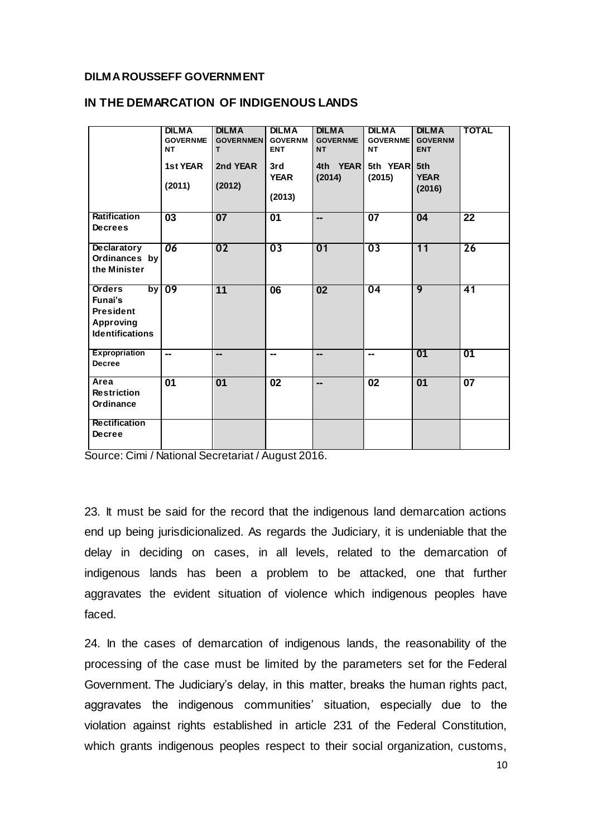#### **DILMA ROUSSEFF GOVERNMENT**

|                                                                                            | <b>DILMA</b><br><b>GOVERNME</b><br>NT | <b>DILMA</b><br><b>GOVERNMEN</b><br>т | <b>DILMA</b><br><b>GOVERNM</b><br><b>ENT</b> | <b>DILMA</b><br><b>GOVERNME</b><br><b>NT</b> | <b>DILMA</b><br><b>GOVERNME</b><br>NΤ | <b>DILMA</b><br><b>GOVERNM</b><br><b>ENT</b> | <b>TOTAL</b>    |
|--------------------------------------------------------------------------------------------|---------------------------------------|---------------------------------------|----------------------------------------------|----------------------------------------------|---------------------------------------|----------------------------------------------|-----------------|
|                                                                                            | 1st YEAR<br>(2011)                    | 2nd YEAR<br>(2012)                    | 3rd<br><b>YEAR</b><br>(2013)                 | 4th YEAR<br>(2014)                           | 5th YEAR 5th<br>(2015)                | <b>YEAR</b><br>(2016)                        |                 |
| <b>Ratification</b><br><b>Decrees</b>                                                      | $\overline{03}$                       | $\overline{07}$                       | $\overline{01}$                              | --                                           | $\overline{07}$                       | 04                                           | $\overline{22}$ |
| <b>Declaratory</b><br>Ordinances by<br>the Minister                                        | 06                                    | 02                                    | 03                                           | 01                                           | 03                                    | 11                                           | 26              |
| <b>Orders</b><br>Funai's<br><b>President</b><br><b>Approving</b><br><b>Identifications</b> | by $09$                               | 11                                    | $\overline{06}$                              | $\overline{02}$                              | 04                                    | $\overline{9}$                               | 41              |
| <b>Expropriation</b><br><b>Decree</b>                                                      | $\overline{\phantom{a}}$              | --                                    | --                                           | --                                           | --                                    | 01                                           | 01              |
| Area<br><b>Restriction</b><br>Ordinance                                                    | $\overline{01}$                       | $\overline{01}$                       | $\overline{02}$                              | --                                           | 02                                    | $\overline{01}$                              | $\overline{07}$ |
| <b>Rectification</b><br><b>Decree</b>                                                      |                                       |                                       |                                              |                                              |                                       |                                              |                 |

#### **IN THE DEMARCATION OF INDIGENOUS LANDS**

Source: Cimi / National Secretariat / August 2016.

23. It must be said for the record that the indigenous land demarcation actions end up being jurisdicionalized. As regards the Judiciary, it is undeniable that the delay in deciding on cases, in all levels, related to the demarcation of indigenous lands has been a problem to be attacked, one that further aggravates the evident situation of violence which indigenous peoples have faced.

24. In the cases of demarcation of indigenous lands, the reasonability of the processing of the case must be limited by the parameters set for the Federal Government. The Judiciary's delay, in this matter, breaks the human rights pact, aggravates the indigenous communities' situation, especially due to the violation against rights established in article 231 of the Federal Constitution, which grants indigenous peoples respect to their social organization, customs,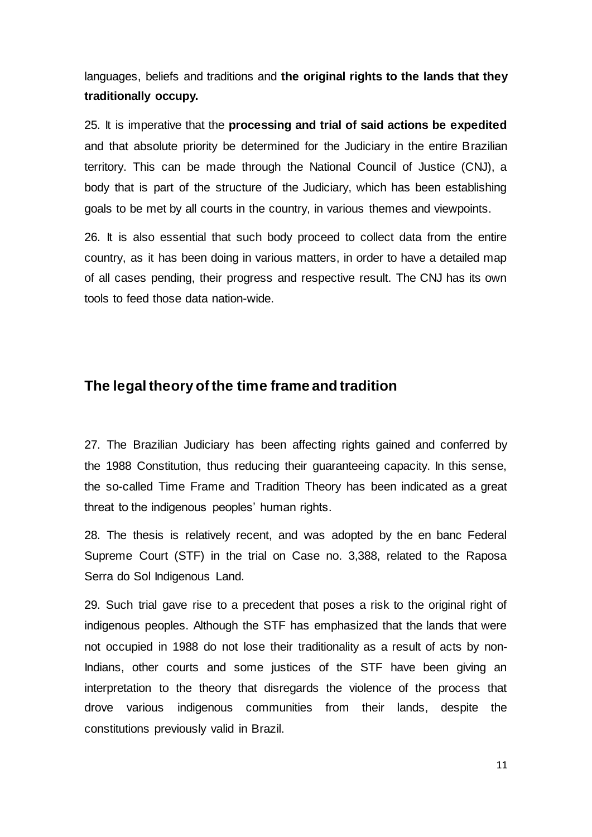languages, beliefs and traditions and **the original rights to the lands that they traditionally occupy.**

25. It is imperative that the **processing and trial of said actions be expedited** and that absolute priority be determined for the Judiciary in the entire Brazilian territory. This can be made through the National Council of Justice (CNJ), a body that is part of the structure of the Judiciary, which has been establishing goals to be met by all courts in the country, in various themes and viewpoints.

26. It is also essential that such body proceed to collect data from the entire country, as it has been doing in various matters, in order to have a detailed map of all cases pending, their progress and respective result. The CNJ has its own tools to feed those data nation-wide.

## **The legal theory of the time frame and tradition**

27. The Brazilian Judiciary has been affecting rights gained and conferred by the 1988 Constitution, thus reducing their guaranteeing capacity. In this sense, the so-called Time Frame and Tradition Theory has been indicated as a great threat to the indigenous peoples' human rights.

28. The thesis is relatively recent, and was adopted by the en banc Federal Supreme Court (STF) in the trial on Case no. 3,388, related to the Raposa Serra do Sol Indigenous Land.

29. Such trial gave rise to a precedent that poses a risk to the original right of indigenous peoples. Although the STF has emphasized that the lands that were not occupied in 1988 do not lose their traditionality as a result of acts by non-Indians, other courts and some justices of the STF have been giving an interpretation to the theory that disregards the violence of the process that drove various indigenous communities from their lands, despite the constitutions previously valid in Brazil.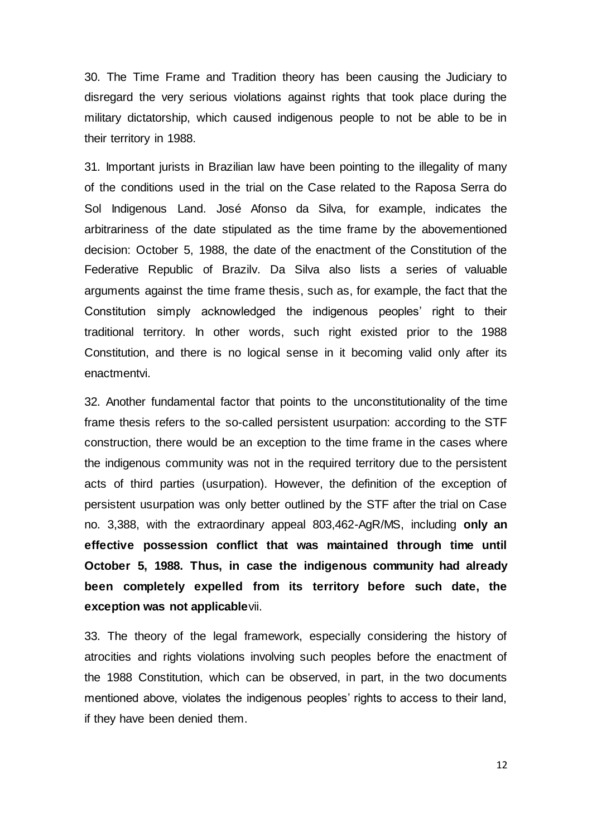30. The Time Frame and Tradition theory has been causing the Judiciary to disregard the very serious violations against rights that took place during the military dictatorship, which caused indigenous people to not be able to be in their territory in 1988.

31. Important jurists in Brazilian law have been pointing to the illegality of many of the conditions used in the trial on the Case related to the Raposa Serra do Sol Indigenous Land. José Afonso da Silva, for example, indicates the arbitrariness of the date stipulated as the time frame by the abovementioned decision: October 5, 1988, the date of the enactment of the Constitution of the Federative Republic of Brazilv. Da Silva also lists a series of valuable arguments against the time frame thesis, such as, for example, the fact that the Constitution simply acknowledged the indigenous peoples' right to their traditional territory. In other words, such right existed prior to the 1988 Constitution, and there is no logical sense in it becoming valid only after its enactmentvi.

32. Another fundamental factor that points to the unconstitutionality of the time frame thesis refers to the so-called persistent usurpation: according to the STF construction, there would be an exception to the time frame in the cases where the indigenous community was not in the required territory due to the persistent acts of third parties (usurpation). However, the definition of the exception of persistent usurpation was only better outlined by the STF after the trial on Case no. 3,388, with the extraordinary appeal 803,462-AgR/MS, including **only an effective possession conflict that was maintained through time until October 5, 1988. Thus, in case the indigenous community had already been completely expelled from its territory before such date, the exception was not applicable**vii.

33. The theory of the legal framework, especially considering the history of atrocities and rights violations involving such peoples before the enactment of the 1988 Constitution, which can be observed, in part, in the two documents mentioned above, violates the indigenous peoples' rights to access to their land, if they have been denied them.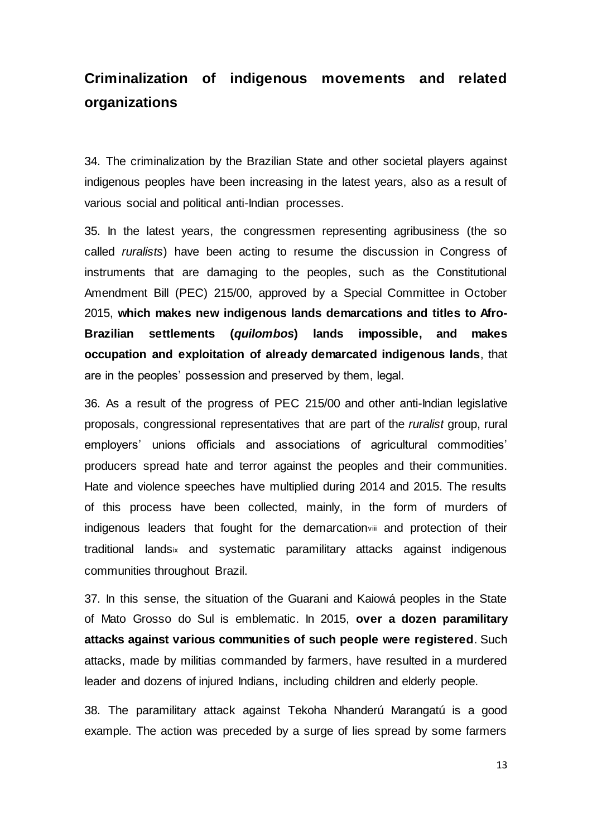# **Criminalization of indigenous movements and related organizations**

34. The criminalization by the Brazilian State and other societal players against indigenous peoples have been increasing in the latest years, also as a result of various social and political anti-Indian processes.

35. In the latest years, the congressmen representing agribusiness (the so called *ruralists*) have been acting to resume the discussion in Congress of instruments that are damaging to the peoples, such as the Constitutional Amendment Bill (PEC) 215/00, approved by a Special Committee in October 2015, **which makes new indigenous lands demarcations and titles to Afro-Brazilian settlements (***quilombos***) lands impossible, and makes occupation and exploitation of already demarcated indigenous lands**, that are in the peoples' possession and preserved by them, legal.

36. As a result of the progress of PEC 215/00 and other anti-Indian legislative proposals, congressional representatives that are part of the *ruralist* group, rural employers' unions officials and associations of agricultural commodities' producers spread hate and terror against the peoples and their communities. Hate and violence speeches have multiplied during 2014 and 2015. The results of this process have been collected, mainly, in the form of murders of indigenous leaders that fought for the demarcationviii and protection of their traditional landsix and systematic paramilitary attacks against indigenous communities throughout Brazil.

37. In this sense, the situation of the Guarani and Kaiowá peoples in the State of Mato Grosso do Sul is emblematic. In 2015, **over a dozen paramilitary attacks against various communities of such people were registered**. Such attacks, made by militias commanded by farmers, have resulted in a murdered leader and dozens of injured Indians, including children and elderly people.

38. The paramilitary attack against Tekoha Nhanderú Marangatú is a good example. The action was preceded by a surge of lies spread by some farmers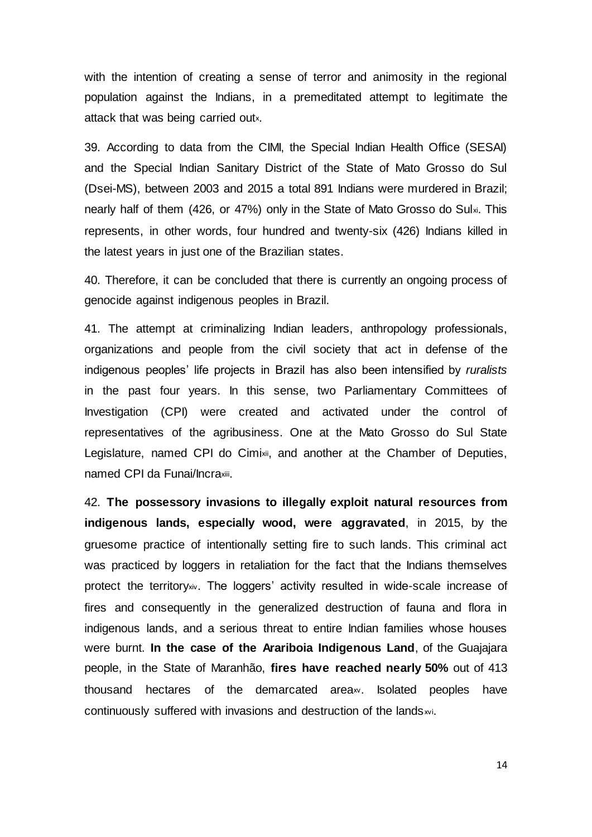with the intention of creating a sense of terror and animosity in the regional population against the Indians, in a premeditated attempt to legitimate the attack that was being carried outx.

39. According to data from the CIMI, the Special Indian Health Office (SESAI) and the Special Indian Sanitary District of the State of Mato Grosso do Sul (Dsei-MS), between 2003 and 2015 a total 891 Indians were murdered in Brazil; nearly half of them (426, or 47%) only in the State of Mato Grosso do Sulxi. This represents, in other words, four hundred and twenty-six (426) Indians killed in the latest years in just one of the Brazilian states.

40. Therefore, it can be concluded that there is currently an ongoing process of genocide against indigenous peoples in Brazil.

41. The attempt at criminalizing Indian leaders, anthropology professionals, organizations and people from the civil society that act in defense of the indigenous peoples' life projects in Brazil has also been intensified by *ruralists* in the past four years. In this sense, two Parliamentary Committees of Investigation (CPI) were created and activated under the control of representatives of the agribusiness. One at the Mato Grosso do Sul State Legislature, named CPI do Cimixii, and another at the Chamber of Deputies, named CPI da Funai/Incraxiii.

42. **The possessory invasions to illegally exploit natural resources from indigenous lands, especially wood, were aggravated**, in 2015, by the gruesome practice of intentionally setting fire to such lands. This criminal act was practiced by loggers in retaliation for the fact that the Indians themselves protect the territoryxiv. The loggers' activity resulted in wide-scale increase of fires and consequently in the generalized destruction of fauna and flora in indigenous lands, and a serious threat to entire Indian families whose houses were burnt. **In the case of the Arariboia Indigenous Land**, of the Guajajara people, in the State of Maranhão, **fires have reached nearly 50%** out of 413 thousand hectares of the demarcated area<sub>xy</sub>. Isolated peoples have continuously suffered with invasions and destruction of the lands wi.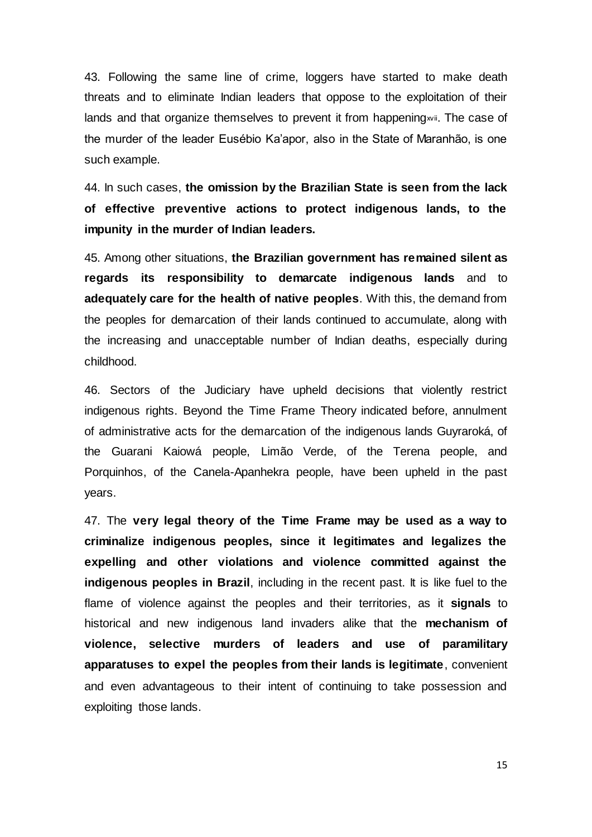43. Following the same line of crime, loggers have started to make death threats and to eliminate Indian leaders that oppose to the exploitation of their lands and that organize themselves to prevent it from happening wii. The case of the murder of the leader Eusébio Ka'apor, also in the State of Maranhão, is one such example.

44. In such cases, **the omission by the Brazilian State is seen from the lack of effective preventive actions to protect indigenous lands, to the impunity in the murder of Indian leaders.**

45. Among other situations, **the Brazilian government has remained silent as regards its responsibility to demarcate indigenous lands** and to **adequately care for the health of native peoples**. With this, the demand from the peoples for demarcation of their lands continued to accumulate, along with the increasing and unacceptable number of Indian deaths, especially during childhood.

46. Sectors of the Judiciary have upheld decisions that violently restrict indigenous rights. Beyond the Time Frame Theory indicated before, annulment of administrative acts for the demarcation of the indigenous lands Guyraroká, of the Guarani Kaiowá people, Limão Verde, of the Terena people, and Porquinhos, of the Canela-Apanhekra people, have been upheld in the past years.

47. The **very legal theory of the Time Frame may be used as a way to criminalize indigenous peoples, since it legitimates and legalizes the expelling and other violations and violence committed against the indigenous peoples in Brazil**, including in the recent past. It is like fuel to the flame of violence against the peoples and their territories, as it **signals** to historical and new indigenous land invaders alike that the **mechanism of violence, selective murders of leaders and use of paramilitary apparatuses to expel the peoples from their lands is legitimate**, convenient and even advantageous to their intent of continuing to take possession and exploiting those lands.

15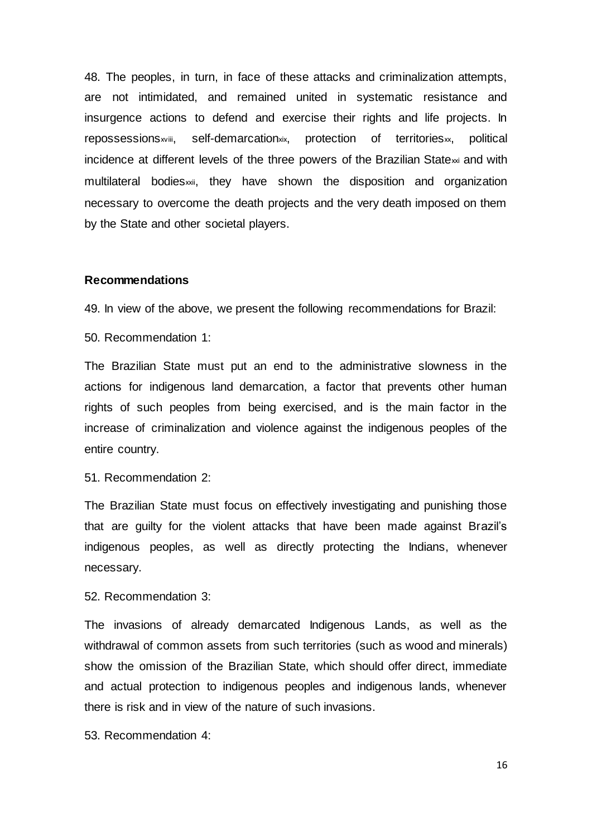48. The peoples, in turn, in face of these attacks and criminalization attempts, are not intimidated, and remained united in systematic resistance and insurgence actions to defend and exercise their rights and life projects. In repossessions<sup>wiii</sup>, self-demarcation<sup>xix</sup>, protection of territories<sub>xx</sub>, political incidence at different levels of the three powers of the Brazilian State $\mathbf{x}_i$  and with multilateral bodies<sub>xxii</sub>, they have shown the disposition and organization necessary to overcome the death projects and the very death imposed on them by the State and other societal players.

#### **Recommendations**

49. In view of the above, we present the following recommendations for Brazil:

50. Recommendation 1:

The Brazilian State must put an end to the administrative slowness in the actions for indigenous land demarcation, a factor that prevents other human rights of such peoples from being exercised, and is the main factor in the increase of criminalization and violence against the indigenous peoples of the entire country.

51. Recommendation 2:

The Brazilian State must focus on effectively investigating and punishing those that are guilty for the violent attacks that have been made against Brazil's indigenous peoples, as well as directly protecting the Indians, whenever necessary.

52. Recommendation 3:

The invasions of already demarcated Indigenous Lands, as well as the withdrawal of common assets from such territories (such as wood and minerals) show the omission of the Brazilian State, which should offer direct, immediate and actual protection to indigenous peoples and indigenous lands, whenever there is risk and in view of the nature of such invasions.

53. Recommendation 4:

16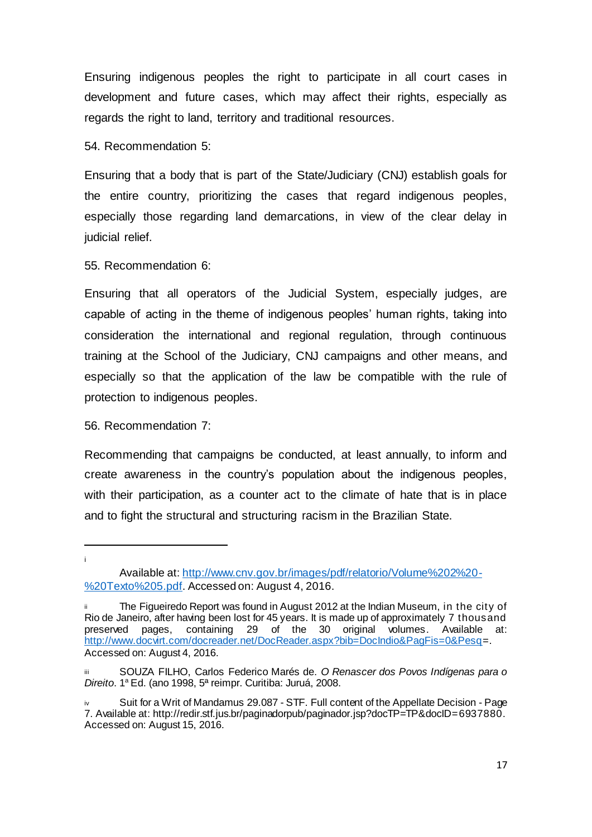Ensuring indigenous peoples the right to participate in all court cases in development and future cases, which may affect their rights, especially as regards the right to land, territory and traditional resources.

54. Recommendation 5:

Ensuring that a body that is part of the State/Judiciary (CNJ) establish goals for the entire country, prioritizing the cases that regard indigenous peoples, especially those regarding land demarcations, in view of the clear delay in judicial relief.

55. Recommendation 6:

Ensuring that all operators of the Judicial System, especially judges, are capable of acting in the theme of indigenous peoples' human rights, taking into consideration the international and regional regulation, through continuous training at the School of the Judiciary, CNJ campaigns and other means, and especially so that the application of the law be compatible with the rule of protection to indigenous peoples.

#### 56. Recommendation 7:

l i

Recommending that campaigns be conducted, at least annually, to inform and create awareness in the country's population about the indigenous peoples, with their participation, as a counter act to the climate of hate that is in place and to fight the structural and structuring racism in the Brazilian State.

Available at: http://www.cnv.gov.br/images/pdf/relatorio/Volume%202%20- %20Texto%205.pdf. Accessed on: August 4, 2016.

The Figueiredo Report was found in August 2012 at the Indian Museum, in the city of Rio de Janeiro, after having been lost for 45 years. It is made up of approximately 7 thousand preserved pages, containing 29 of the 30 original volumes. Available at: http://www.docvirt.com/docreader.net/DocReader.aspx?bib=DocIndio&PagFis=0&Pesq=. Accessed on: August 4, 2016.

SOUZA FILHO, Carlos Federico Marés de. O Renascer dos Povos Indígenas para o *Direito*. 1<sup>a</sup> Ed. (ano 1998, 5ª reimpr. Curitiba: Juruá, 2008.

Suit for a Writ of Mandamus 29.087 - STF. Full content of the Appellate Decision - Page 7. Available at: http://redir.stf.jus.br/paginadorpub/paginador.jsp?docTP=TP&docID=6937880. Accessed on: August 15, 2016.